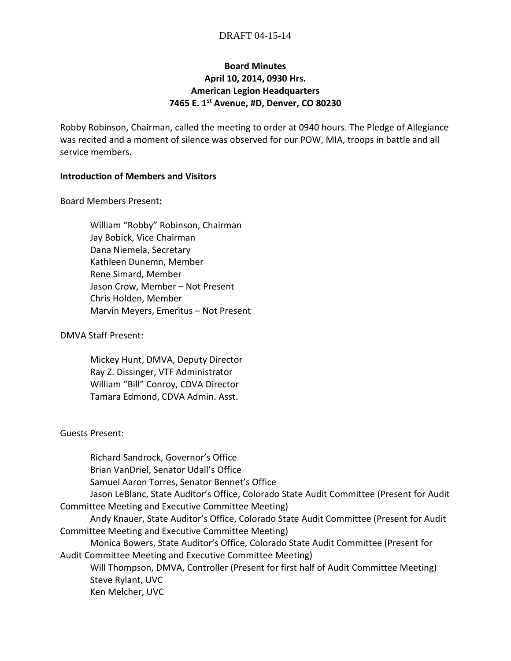### DRAFT 04-15-14

# **Board Minutes April 10, 2014, 0930 Hrs. American Legion Headquarters 7465 E. 1st Avenue, #D, Denver, CO 80230**

Robby Robinson, Chairman, called the meeting to order at 0940 hours. The Pledge of Allegiance was recited and a moment of silence was observed for our POW, MIA, troops in battle and all service members.

### **Introduction of Members and Visitors**

Board Members Present**:**

William "Robby" Robinson, Chairman Jay Bobick, Vice Chairman Dana Niemela, Secretary Kathleen Dunemn, Member Rene Simard, Member Jason Crow, Member – Not Present Chris Holden, Member Marvin Meyers, Emeritus – Not Present

DMVA Staff Present:

Mickey Hunt, DMVA, Deputy Director Ray Z. Dissinger, VTF Administrator William "Bill" Conroy, CDVA Director Tamara Edmond, CDVA Admin. Asst.

#### Guests Present:

Richard Sandrock, Governor's Office Brian VanDriel, Senator Udall's Office Samuel Aaron Torres, Senator Bennet's Office Jason LeBlanc, State Auditor's Office, Colorado State Audit Committee (Present for Audit Committee Meeting and Executive Committee Meeting) Andy Knauer, State Auditor's Office, Colorado State Audit Committee (Present for Audit Committee Meeting and Executive Committee Meeting) Monica Bowers, State Auditor's Office, Colorado State Audit Committee (Present for Audit Committee Meeting and Executive Committee Meeting) Will Thompson, DMVA, Controller (Present for first half of Audit Committee Meeting) Steve Rylant, UVC Ken Melcher, UVC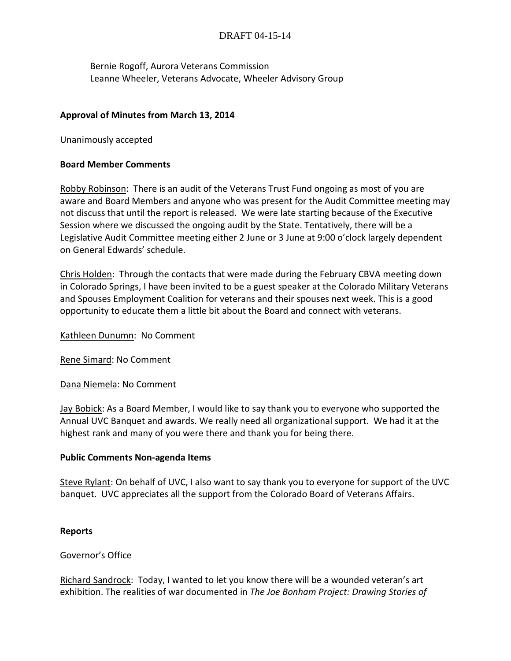# DRAFT 04-15-14

Bernie Rogoff, Aurora Veterans Commission Leanne Wheeler, Veterans Advocate, Wheeler Advisory Group

### **Approval of Minutes from March 13, 2014**

Unanimously accepted

### **Board Member Comments**

Robby Robinson: There is an audit of the Veterans Trust Fund ongoing as most of you are aware and Board Members and anyone who was present for the Audit Committee meeting may not discuss that until the report is released. We were late starting because of the Executive Session where we discussed the ongoing audit by the State. Tentatively, there will be a Legislative Audit Committee meeting either 2 June or 3 June at 9:00 o'clock largely dependent on General Edwards' schedule.

Chris Holden: Through the contacts that were made during the February CBVA meeting down in Colorado Springs, I have been invited to be a guest speaker at the Colorado Military Veterans and Spouses Employment Coalition for veterans and their spouses next week. This is a good opportunity to educate them a little bit about the Board and connect with veterans.

Kathleen Dunumn: No Comment

Rene Simard: No Comment

Dana Niemela: No Comment

Jay Bobick: As a Board Member, I would like to say thank you to everyone who supported the Annual UVC Banquet and awards. We really need all organizational support. We had it at the highest rank and many of you were there and thank you for being there.

#### **Public Comments Non-agenda Items**

Steve Rylant: On behalf of UVC, I also want to say thank you to everyone for support of the UVC banquet. UVC appreciates all the support from the Colorado Board of Veterans Affairs.

#### **Reports**

Governor's Office

Richard Sandrock: Today, I wanted to let you know there will be a wounded veteran's art exhibition. The realities of war documented in *The Joe Bonham Project: Drawing Stories of*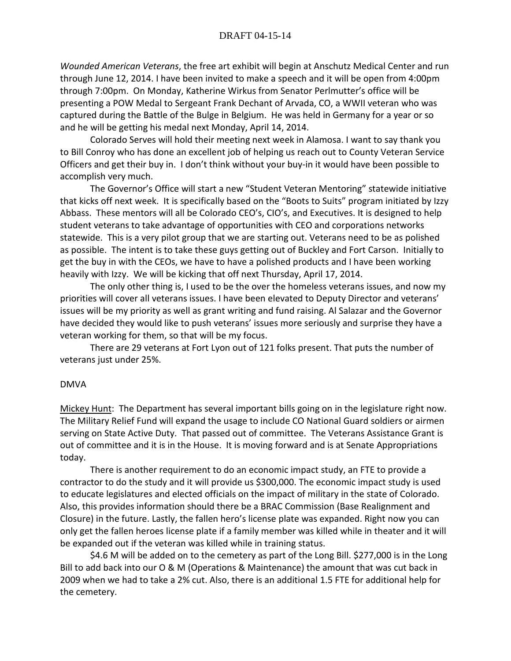*Wounded American Veterans*, the free art exhibit will begin at Anschutz Medical Center and run through June 12, 2014. I have been invited to make a speech and it will be open from 4:00pm through 7:00pm. On Monday, Katherine Wirkus from Senator Perlmutter's office will be presenting a POW Medal to Sergeant Frank Dechant of Arvada, CO, a WWII veteran who was captured during the Battle of the Bulge in Belgium. He was held in Germany for a year or so and he will be getting his medal next Monday, April 14, 2014.

Colorado Serves will hold their meeting next week in Alamosa. I want to say thank you to Bill Conroy who has done an excellent job of helping us reach out to County Veteran Service Officers and get their buy in. I don't think without your buy-in it would have been possible to accomplish very much.

The Governor's Office will start a new "Student Veteran Mentoring" statewide initiative that kicks off next week. It is specifically based on the "Boots to Suits" program initiated by Izzy Abbass. These mentors will all be Colorado CEO's, CIO's, and Executives. It is designed to help student veterans to take advantage of opportunities with CEO and corporations networks statewide. This is a very pilot group that we are starting out. Veterans need to be as polished as possible. The intent is to take these guys getting out of Buckley and Fort Carson. Initially to get the buy in with the CEOs, we have to have a polished products and I have been working heavily with Izzy. We will be kicking that off next Thursday, April 17, 2014.

The only other thing is, I used to be the over the homeless veterans issues, and now my priorities will cover all veterans issues. I have been elevated to Deputy Director and veterans' issues will be my priority as well as grant writing and fund raising. Al Salazar and the Governor have decided they would like to push veterans' issues more seriously and surprise they have a veteran working for them, so that will be my focus.

There are 29 veterans at Fort Lyon out of 121 folks present. That puts the number of veterans just under 25%.

#### DMVA

Mickey Hunt: The Department has several important bills going on in the legislature right now. The Military Relief Fund will expand the usage to include CO National Guard soldiers or airmen serving on State Active Duty. That passed out of committee. The Veterans Assistance Grant is out of committee and it is in the House. It is moving forward and is at Senate Appropriations today.

There is another requirement to do an economic impact study, an FTE to provide a contractor to do the study and it will provide us \$300,000. The economic impact study is used to educate legislatures and elected officials on the impact of military in the state of Colorado. Also, this provides information should there be a BRAC Commission (Base Realignment and Closure) in the future. Lastly, the fallen hero's license plate was expanded. Right now you can only get the fallen heroes license plate if a family member was killed while in theater and it will be expanded out if the veteran was killed while in training status.

\$4.6 M will be added on to the cemetery as part of the Long Bill. \$277,000 is in the Long Bill to add back into our O & M (Operations & Maintenance) the amount that was cut back in 2009 when we had to take a 2% cut. Also, there is an additional 1.5 FTE for additional help for the cemetery.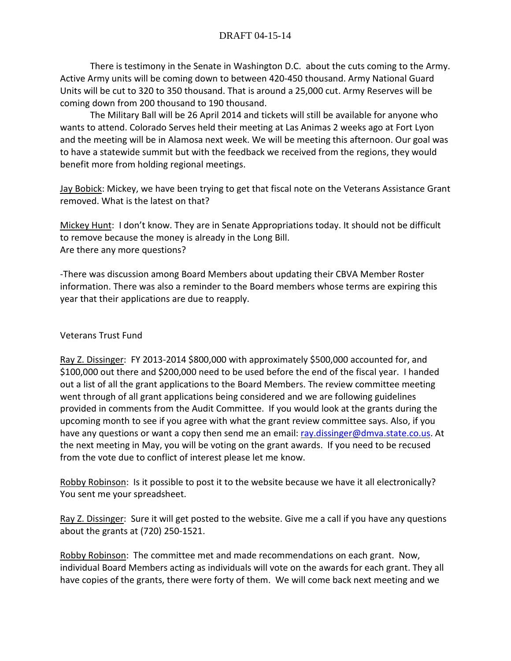There is testimony in the Senate in Washington D.C. about the cuts coming to the Army. Active Army units will be coming down to between 420-450 thousand. Army National Guard Units will be cut to 320 to 350 thousand. That is around a 25,000 cut. Army Reserves will be coming down from 200 thousand to 190 thousand.

The Military Ball will be 26 April 2014 and tickets will still be available for anyone who wants to attend. Colorado Serves held their meeting at Las Animas 2 weeks ago at Fort Lyon and the meeting will be in Alamosa next week. We will be meeting this afternoon. Our goal was to have a statewide summit but with the feedback we received from the regions, they would benefit more from holding regional meetings.

Jay Bobick: Mickey, we have been trying to get that fiscal note on the Veterans Assistance Grant removed. What is the latest on that?

Mickey Hunt: I don't know. They are in Senate Appropriations today. It should not be difficult to remove because the money is already in the Long Bill. Are there any more questions?

-There was discussion among Board Members about updating their CBVA Member Roster information. There was also a reminder to the Board members whose terms are expiring this year that their applications are due to reapply.

# Veterans Trust Fund

Ray Z. Dissinger: FY 2013-2014 \$800,000 with approximately \$500,000 accounted for, and \$100,000 out there and \$200,000 need to be used before the end of the fiscal year. I handed out a list of all the grant applications to the Board Members. The review committee meeting went through of all grant applications being considered and we are following guidelines provided in comments from the Audit Committee. If you would look at the grants during the upcoming month to see if you agree with what the grant review committee says. Also, if you have any questions or want a copy then send me an email: [ray.dissinger@dmva.state.co.us.](mailto:ray.dissinger@dmva.state.co.us) At the next meeting in May, you will be voting on the grant awards. If you need to be recused from the vote due to conflict of interest please let me know.

Robby Robinson: Is it possible to post it to the website because we have it all electronically? You sent me your spreadsheet.

Ray Z. Dissinger: Sure it will get posted to the website. Give me a call if you have any questions about the grants at (720) 250-1521.

Robby Robinson: The committee met and made recommendations on each grant. Now, individual Board Members acting as individuals will vote on the awards for each grant. They all have copies of the grants, there were forty of them. We will come back next meeting and we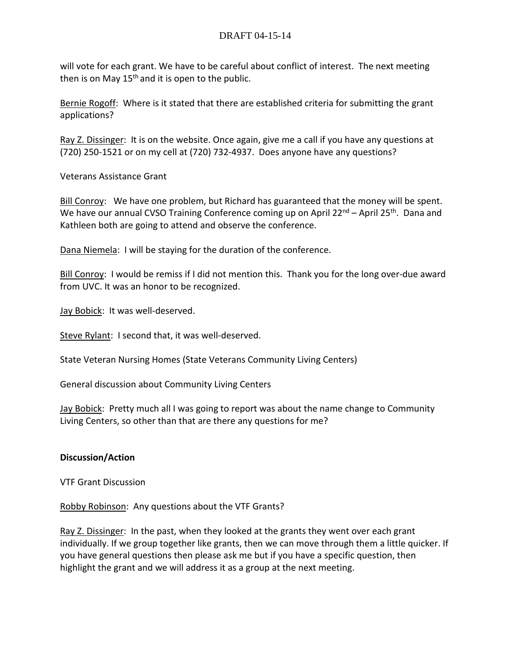will vote for each grant. We have to be careful about conflict of interest. The next meeting then is on May  $15<sup>th</sup>$  and it is open to the public.

Bernie Rogoff: Where is it stated that there are established criteria for submitting the grant applications?

Ray Z. Dissinger: It is on the website. Once again, give me a call if you have any questions at (720) 250-1521 or on my cell at (720) 732-4937. Does anyone have any questions?

Veterans Assistance Grant

Bill Conroy: We have one problem, but Richard has guaranteed that the money will be spent. We have our annual CVSO Training Conference coming up on April 22<sup>nd</sup> – April 25<sup>th</sup>. Dana and Kathleen both are going to attend and observe the conference.

Dana Niemela: I will be staying for the duration of the conference.

Bill Conroy: I would be remiss if I did not mention this. Thank you for the long over-due award from UVC. It was an honor to be recognized.

Jay Bobick: It was well-deserved.

Steve Rylant: I second that, it was well-deserved.

State Veteran Nursing Homes (State Veterans Community Living Centers)

General discussion about Community Living Centers

Jay Bobick: Pretty much all I was going to report was about the name change to Community Living Centers, so other than that are there any questions for me?

### **Discussion/Action**

VTF Grant Discussion

Robby Robinson: Any questions about the VTF Grants?

Ray Z. Dissinger: In the past, when they looked at the grants they went over each grant individually. If we group together like grants, then we can move through them a little quicker. If you have general questions then please ask me but if you have a specific question, then highlight the grant and we will address it as a group at the next meeting.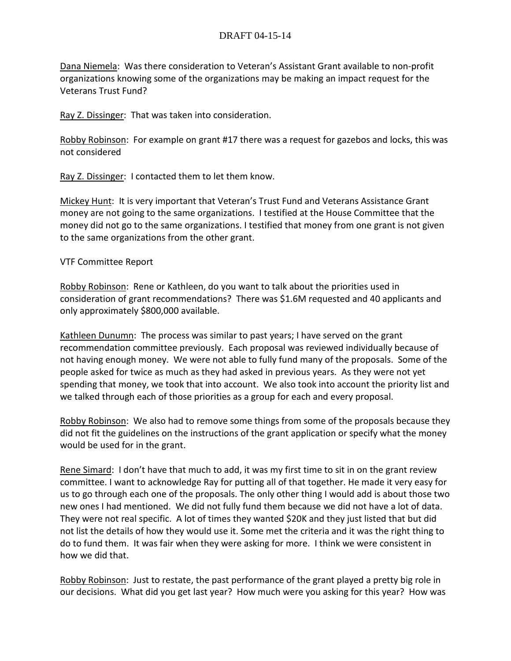Dana Niemela: Was there consideration to Veteran's Assistant Grant available to non-profit organizations knowing some of the organizations may be making an impact request for the Veterans Trust Fund?

Ray Z. Dissinger: That was taken into consideration.

Robby Robinson: For example on grant #17 there was a request for gazebos and locks, this was not considered

Ray Z. Dissinger: I contacted them to let them know.

Mickey Hunt: It is very important that Veteran's Trust Fund and Veterans Assistance Grant money are not going to the same organizations. I testified at the House Committee that the money did not go to the same organizations. I testified that money from one grant is not given to the same organizations from the other grant.

### VTF Committee Report

Robby Robinson: Rene or Kathleen, do you want to talk about the priorities used in consideration of grant recommendations? There was \$1.6M requested and 40 applicants and only approximately \$800,000 available.

Kathleen Dunumn: The process was similar to past years; I have served on the grant recommendation committee previously. Each proposal was reviewed individually because of not having enough money. We were not able to fully fund many of the proposals. Some of the people asked for twice as much as they had asked in previous years. As they were not yet spending that money, we took that into account. We also took into account the priority list and we talked through each of those priorities as a group for each and every proposal.

Robby Robinson: We also had to remove some things from some of the proposals because they did not fit the guidelines on the instructions of the grant application or specify what the money would be used for in the grant.

Rene Simard: I don't have that much to add, it was my first time to sit in on the grant review committee. I want to acknowledge Ray for putting all of that together. He made it very easy for us to go through each one of the proposals. The only other thing I would add is about those two new ones I had mentioned. We did not fully fund them because we did not have a lot of data. They were not real specific. A lot of times they wanted \$20K and they just listed that but did not list the details of how they would use it. Some met the criteria and it was the right thing to do to fund them. It was fair when they were asking for more. I think we were consistent in how we did that.

Robby Robinson: Just to restate, the past performance of the grant played a pretty big role in our decisions. What did you get last year? How much were you asking for this year? How was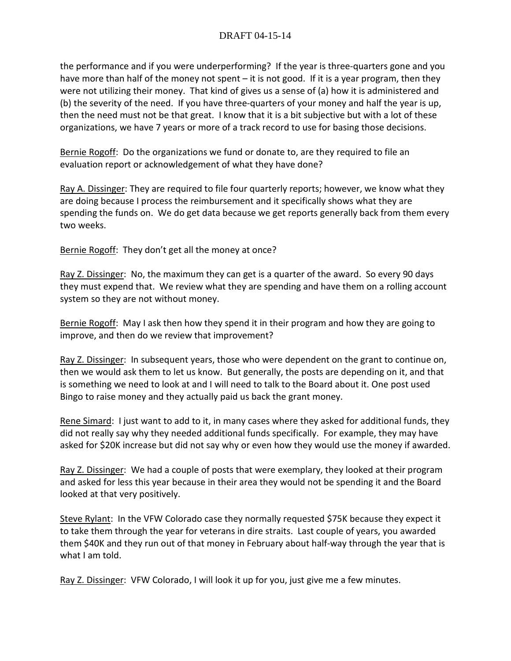the performance and if you were underperforming? If the year is three-quarters gone and you have more than half of the money not spent – it is not good. If it is a year program, then they were not utilizing their money. That kind of gives us a sense of (a) how it is administered and (b) the severity of the need. If you have three-quarters of your money and half the year is up, then the need must not be that great. I know that it is a bit subjective but with a lot of these organizations, we have 7 years or more of a track record to use for basing those decisions.

Bernie Rogoff: Do the organizations we fund or donate to, are they required to file an evaluation report or acknowledgement of what they have done?

Ray A. Dissinger: They are required to file four quarterly reports; however, we know what they are doing because I process the reimbursement and it specifically shows what they are spending the funds on. We do get data because we get reports generally back from them every two weeks.

Bernie Rogoff: They don't get all the money at once?

Ray Z. Dissinger: No, the maximum they can get is a quarter of the award. So every 90 days they must expend that. We review what they are spending and have them on a rolling account system so they are not without money.

Bernie Rogoff: May I ask then how they spend it in their program and how they are going to improve, and then do we review that improvement?

Ray Z. Dissinger: In subsequent years, those who were dependent on the grant to continue on, then we would ask them to let us know. But generally, the posts are depending on it, and that is something we need to look at and I will need to talk to the Board about it. One post used Bingo to raise money and they actually paid us back the grant money.

Rene Simard: I just want to add to it, in many cases where they asked for additional funds, they did not really say why they needed additional funds specifically. For example, they may have asked for \$20K increase but did not say why or even how they would use the money if awarded.

Ray Z. Dissinger: We had a couple of posts that were exemplary, they looked at their program and asked for less this year because in their area they would not be spending it and the Board looked at that very positively.

Steve Rylant: In the VFW Colorado case they normally requested \$75K because they expect it to take them through the year for veterans in dire straits. Last couple of years, you awarded them \$40K and they run out of that money in February about half-way through the year that is what I am told.

Ray Z. Dissinger: VFW Colorado, I will look it up for you, just give me a few minutes.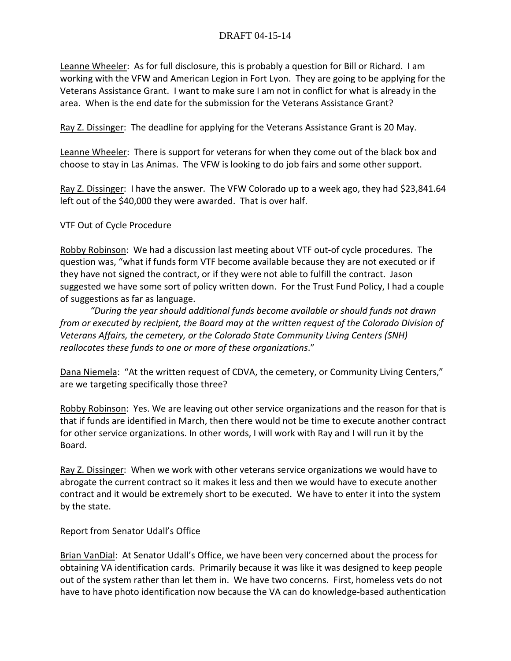Leanne Wheeler: As for full disclosure, this is probably a question for Bill or Richard. I am working with the VFW and American Legion in Fort Lyon. They are going to be applying for the Veterans Assistance Grant. I want to make sure I am not in conflict for what is already in the area. When is the end date for the submission for the Veterans Assistance Grant?

Ray Z. Dissinger: The deadline for applying for the Veterans Assistance Grant is 20 May.

Leanne Wheeler: There is support for veterans for when they come out of the black box and choose to stay in Las Animas. The VFW is looking to do job fairs and some other support.

Ray Z. Dissinger: I have the answer. The VFW Colorado up to a week ago, they had \$23,841.64 left out of the \$40,000 they were awarded. That is over half.

VTF Out of Cycle Procedure

Robby Robinson: We had a discussion last meeting about VTF out-of cycle procedures. The question was, "what if funds form VTF become available because they are not executed or if they have not signed the contract, or if they were not able to fulfill the contract. Jason suggested we have some sort of policy written down. For the Trust Fund Policy, I had a couple of suggestions as far as language.

*"During the year should additional funds become available or should funds not drawn from or executed by recipient, the Board may at the written request of the Colorado Division of Veterans Affairs, the cemetery, or the Colorado State Community Living Centers (SNH) reallocates these funds to one or more of these organizations*."

Dana Niemela: "At the written request of CDVA, the cemetery, or Community Living Centers," are we targeting specifically those three?

Robby Robinson: Yes. We are leaving out other service organizations and the reason for that is that if funds are identified in March, then there would not be time to execute another contract for other service organizations. In other words, I will work with Ray and I will run it by the Board.

Ray Z. Dissinger: When we work with other veterans service organizations we would have to abrogate the current contract so it makes it less and then we would have to execute another contract and it would be extremely short to be executed. We have to enter it into the system by the state.

Report from Senator Udall's Office

Brian VanDial: At Senator Udall's Office, we have been very concerned about the process for obtaining VA identification cards. Primarily because it was like it was designed to keep people out of the system rather than let them in. We have two concerns. First, homeless vets do not have to have photo identification now because the VA can do knowledge-based authentication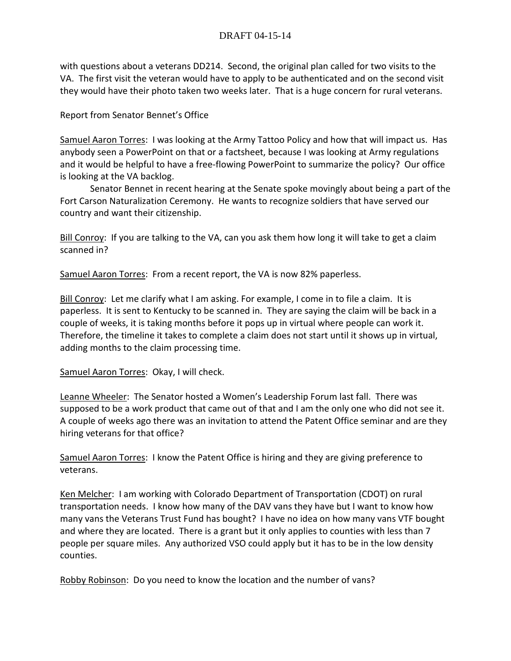with questions about a veterans DD214. Second, the original plan called for two visits to the VA. The first visit the veteran would have to apply to be authenticated and on the second visit they would have their photo taken two weeks later. That is a huge concern for rural veterans.

# Report from Senator Bennet's Office

Samuel Aaron Torres: I was looking at the Army Tattoo Policy and how that will impact us. Has anybody seen a PowerPoint on that or a factsheet, because I was looking at Army regulations and it would be helpful to have a free-flowing PowerPoint to summarize the policy? Our office is looking at the VA backlog.

Senator Bennet in recent hearing at the Senate spoke movingly about being a part of the Fort Carson Naturalization Ceremony. He wants to recognize soldiers that have served our country and want their citizenship.

Bill Conroy: If you are talking to the VA, can you ask them how long it will take to get a claim scanned in?

Samuel Aaron Torres: From a recent report, the VA is now 82% paperless.

Bill Conroy: Let me clarify what I am asking. For example, I come in to file a claim. It is paperless. It is sent to Kentucky to be scanned in. They are saying the claim will be back in a couple of weeks, it is taking months before it pops up in virtual where people can work it. Therefore, the timeline it takes to complete a claim does not start until it shows up in virtual, adding months to the claim processing time.

Samuel Aaron Torres: Okay, I will check.

Leanne Wheeler: The Senator hosted a Women's Leadership Forum last fall. There was supposed to be a work product that came out of that and I am the only one who did not see it. A couple of weeks ago there was an invitation to attend the Patent Office seminar and are they hiring veterans for that office?

Samuel Aaron Torres: I know the Patent Office is hiring and they are giving preference to veterans.

Ken Melcher: I am working with Colorado Department of Transportation (CDOT) on rural transportation needs. I know how many of the DAV vans they have but I want to know how many vans the Veterans Trust Fund has bought? I have no idea on how many vans VTF bought and where they are located. There is a grant but it only applies to counties with less than 7 people per square miles. Any authorized VSO could apply but it has to be in the low density counties.

Robby Robinson: Do you need to know the location and the number of vans?